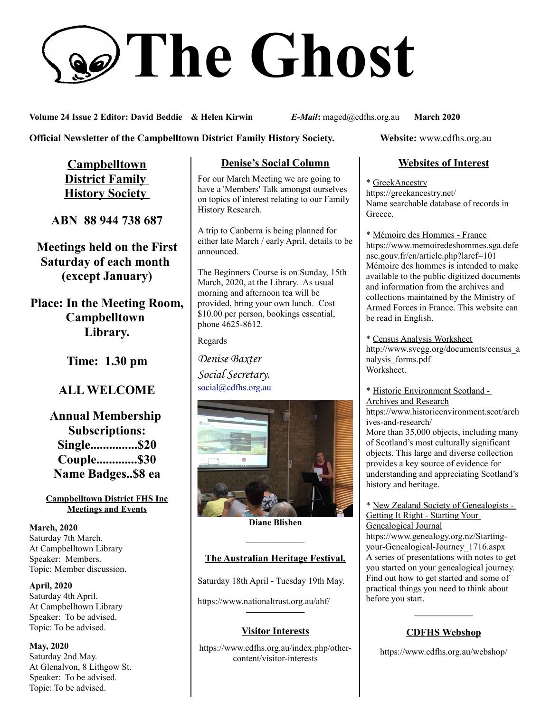# **The Ghost**

**Volume 24 Issue 2 Editor: David Beddie & Helen Kirwin** *E-Mail***:** maged@cdfhs.org.au **March 2020**

### **Official Newsletter of the Campbelltown District Family History Society. Website: www.cdfhs.org.au**

**Campbelltown District Family History Society** 

**ABN 88 944 738 687**

**Meetings held on the First Saturday of each month (except January)**

**Place: In the Meeting Room, Campbelltown Library.**

**Time: 1.30 pm**

# **ALL WELCOME**

**Annual Membership Subscriptions: Single...............\$20 Couple.............\$30 Name Badges..\$8 ea**

#### **Campbelltown District FHS Inc Meetings and Events**

**March, 2020** Saturday 7th March. At Campbelltown Library Speaker: Members. Topic: Member discussion.

**April, 2020** Saturday 4th April. At Campbelltown Library Speaker: To be advised. Topic: To be advised.

**May, 2020** Saturday 2nd May. At Glenalvon, 8 Lithgow St. Speaker: To be advised. Topic: To be advised.

## **Denise's Social Column**

For our March Meeting we are going to have a 'Members' Talk amongst ourselves on topics of interest relating to our Family History Research.

A trip to Canberra is being planned for either late March / early April, details to be announced.

The Beginners Course is on Sunday, 15th March, 2020, at the Library. As usual morning and afternoon tea will be provided, bring your own lunch. Cost \$10.00 per person, bookings essential, phone 4625-8612.

Regards

*Denise Baxter Social Secretary.* [social@cdfhs.org.au](mailto:social@cdfhs.org.au)



**Diane Blishen**

## **——————– The Australian Heritage Festival.**

Saturday 18th April - Tuesday 19th May.

https://www.nationaltrust.org.au/ahf/

#### **Visitor Interests**

**——————–**

https://www.cdfhs.org.au/index.php/othercontent/visitor-interests

## **Websites of Interest**

\* GreekAncestry https://greekancestry.net/ Name searchable database of records in Greece.

\* Mémoire des Hommes - France https://www.memoiredeshommes.sga.defe nse.gouv.fr/en/article.php?laref=101 Mémoire des hommes is intended to make available to the public digitized documents and information from the archives and collections maintained by the Ministry of Armed Forces in France. This website can be read in English.

\* Census Analysis Worksheet http://www.svcgg.org/documents/census\_a nalysis\_forms.pdf Worksheet.

\* Historic Environment Scotland - Archives and Research

https://www.historicenvironment.scot/arch ives-and-research/

More than 35,000 objects, including many of Scotland's most culturally significant objects. This large and diverse collection provides a key source of evidence for understanding and appreciating Scotland's history and heritage.

#### \* New Zealand Society of Genealogists - Getting It Right - Starting Your Genealogical Journal

https://www.genealogy.org.nz/Startingyour-Genealogical-Journey\_1716.aspx A series of presentations with notes to get you started on your genealogical journey. Find out how to get started and some of practical things you need to think about before you start.

## **——————– CDFHS Webshop**

https://www.cdfhs.org.au/webshop/